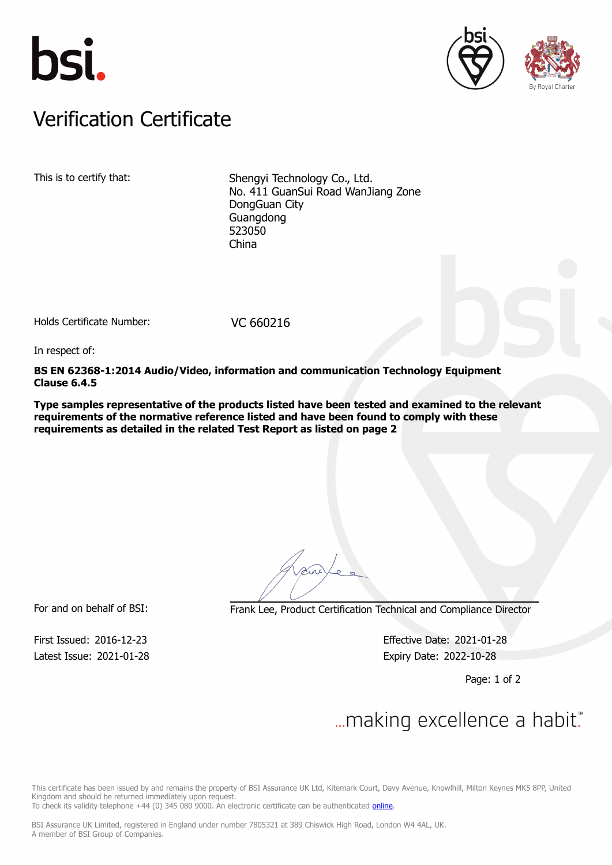





### Verification Certificate Verification Certificate

This is to certify that: Shengyi Technology Co., Ltd. No. 411 GuanSui Road WanJiang Zone DongGuan City Guangdong 523050 China

Holds Certificate Number: VC 660216

In respect of:

**BS EN 62368-1:2014 Audio/Video, information and communication Technology Equipment Clause 6.4.5**

**Type samples representative of the products listed have been tested and examined to the relevant requirements of the normative reference listed and have been found to comply with these requirements as detailed in the related Test Report as listed on page 2**

For and on behalf of BSI: Frank Lee, Product Certification Technical and Compliance Director

Latest Issue: 2021-01-28 Expiry Date: 2022-10-28

First Issued: 2016-12-23 Effective Date: 2021-01-28

Page: 1 of 2

# $\mathcal{L}$

This certificate has been issued by and remains the property of BSI Assurance UK Ltd, Kitemark Court, Davy Avenue, Knowlhill, Milton Keynes MK5 8PP, United Kingdom and should be returned immediately upon request.

To check its validity telephone +44 (0) 345 080 9000. An electronic certificate can be authenticated [online](https://pgplus.bsigroup.com/CertificateValidation/CertificateValidator.aspx?CertificateNumber=VC+660216&ReIssueDate=28%2f01%2f2021&Template=uk).